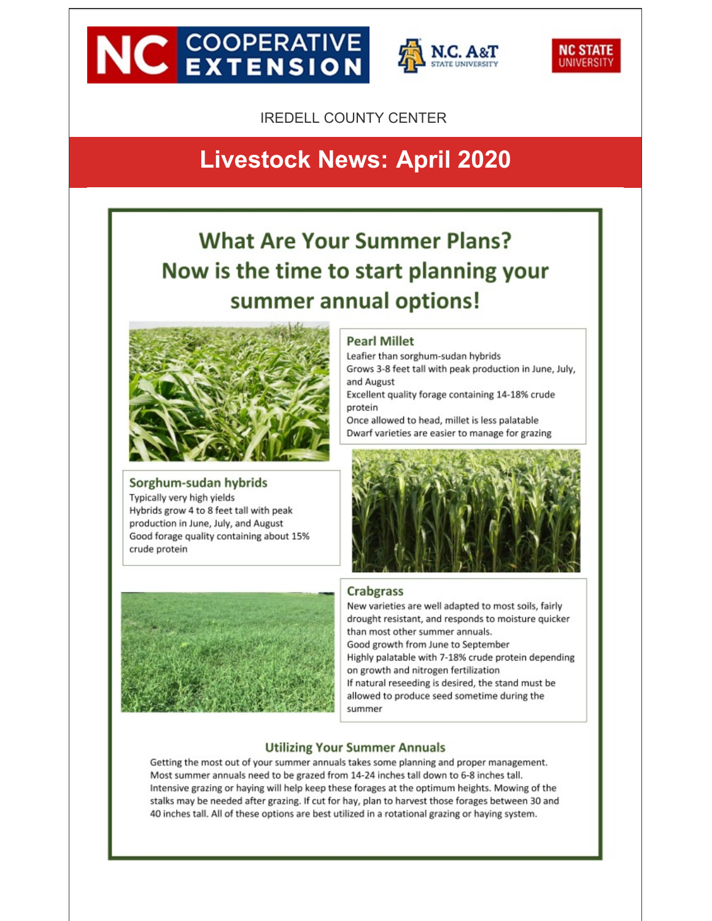# **NC EXTENSION**





**IREDELL COUNTY CENTER** 

# **Livestock News: April 2020**

# **What Are Your Summer Plans?** Now is the time to start planning your summer annual options!



## Sorghum-sudan hybrids

Typically very high yields Hybrids grow 4 to 8 feet tall with peak production in June, July, and August Good forage quality containing about 15% crude protein



#### **Pearl Millet**

Leafier than sorghum-sudan hybrids Grows 3-8 feet tall with peak production in June, July, and August Excellent quality forage containing 14-18% crude

protein

Once allowed to head, millet is less palatable Dwarf varieties are easier to manage for grazing



#### **Crabgrass**

New varieties are well adapted to most soils, fairly drought resistant, and responds to moisture quicker than most other summer annuals. Good growth from June to September Highly palatable with 7-18% crude protein depending on growth and nitrogen fertilization If natural reseeding is desired, the stand must be allowed to produce seed sometime during the summer

#### **Utilizing Your Summer Annuals**

Getting the most out of your summer annuals takes some planning and proper management. Most summer annuals need to be grazed from 14-24 inches tall down to 6-8 inches tall. Intensive grazing or haying will help keep these forages at the optimum heights. Mowing of the stalks may be needed after grazing. If cut for hay, plan to harvest those forages between 30 and 40 inches tall. All of these options are best utilized in a rotational grazing or haying system.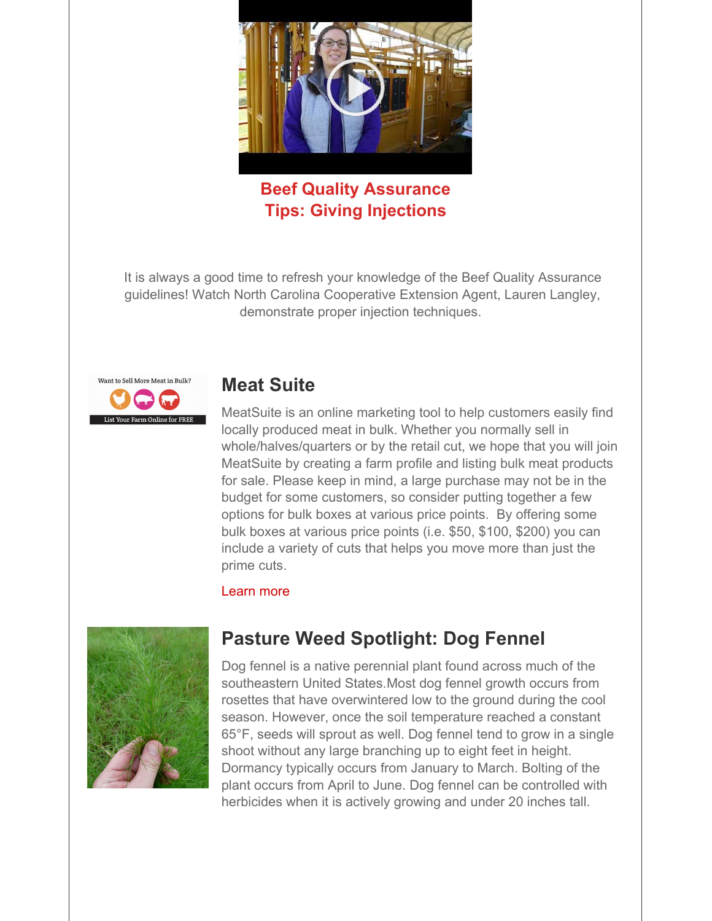

**Beef Quality Assurance Tips: Giving Injections**

It is always a good time to refresh your knowledge of the Beef Quality Assurance guidelines! Watch North Carolina Cooperative Extension Agent, Lauren Langley, demonstrate proper injection techniques.



## **Meat Suite**

MeatSuite is an online marketing tool to help customers easily find locally produced meat in bulk. Whether you normally sell in whole/halves/quarters or by the retail cut, we hope that you will join MeatSuite by creating a farm profile and listing bulk meat products for sale. Please keep in mind, a large purchase may not be in the budget for some customers, so consider putting together a few options for bulk boxes at various price points. By offering some bulk boxes at various price points (i.e. \$50, \$100, \$200) you can include a variety of cuts that helps you move more than just the prime cuts.

#### [Learn](http://r20.rs6.net/tn.jsp?f=001-pPXlIzaFUEIdHfqWocUMyDIk3bs8gPutVav0Scu0x7RkaaHU88-eywdK7RZLNtrhn9DDizfc3oABH1q3HP6x_J4D4S9VlKmRjlO3w7qyhq58GIjrHMb-RT_ZGjTe-5Uc93Q2uidzBSRObjA9fobW6v66-KGi9oAgAsVUsYVcrA=&c=&ch=) more



# **Pasture Weed Spotlight: Dog Fennel**

Dog fennel is a native perennial plant found across much of the southeastern United States.Most dog fennel growth occurs from rosettes that have overwintered low to the ground during the cool season. However, once the soil temperature reached a constant 65°F, seeds will sprout as well. Dog fennel tend to grow in a single shoot without any large branching up to eight feet in height. Dormancy typically occurs from January to March. Bolting of the plant occurs from April to June. Dog fennel can be controlled with herbicides when it is actively growing and under 20 inches tall.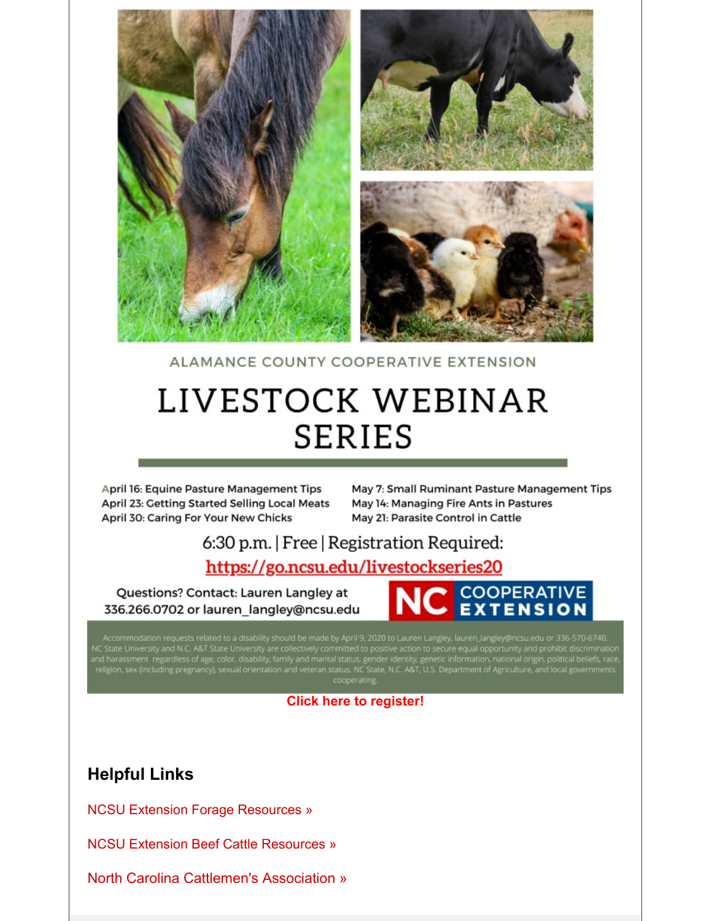

ALAMANCE COUNTY COOPERATIVE EXTENSION

# LIVESTOCK WEBINAR **SERIES**

April 16: Equine Pasture Management Tips April 23: Getting Started Selling Local Meats April 30: Caring For Your New Chicks

May 7: Small Ruminant Pasture Management Tips May 14: Managing Fire Ants in Pastures May 21: Parasite Control in Cattle

# 6:30 p.m. | Free | Registration Required:

## https://go.ncsu.edu/livestockseries20

Questions? Contact: Lauren Langley at 336.266.0702 or lauren langley@ncsu.edu



Accommodation requests related to a disability should be made by April 9, 2020 to Lauren Langley, lauren\_langley@ncsu.edu or 336-570-6740.<br>NC State University and N.C. A&T State University are collectively committed to pos

#### **Click here to [register!](http://r20.rs6.net/tn.jsp?f=001-pPXlIzaFUEIdHfqWocUMyDIk3bs8gPutVav0Scu0x7RkaaHU88-eywdK7RZLNtr7-Fud-WOH6GV0MpK8JBYYsSmQApiBRnHJ4mALb5OUq56DVShJXUJj85LfkJKP0vEAKkALGPu-yGFGhEi9lttC_spglpV2X2XVWFhktAvX7XBYjt77BguO7YvDUfZGXBO&c=&ch=)**

### **Helpful Links**

NCSU Extension Forage [Resources](http://r20.rs6.net/tn.jsp?f=001-pPXlIzaFUEIdHfqWocUMyDIk3bs8gPutVav0Scu0x7RkaaHU88-eywdK7RZLNtrMtEBxSV4cCb_A8MOcRaTTI7POOo659dKBtLXJEwqvoytnoj5bSioqwR7V-EZ774iQVa5P9G2XmaPT41GkBIIq80c9c228jOTxHJ_BzYMaD1_WzYWrMJ5pg==&c=&ch=) »

NCSU Extension Beef Cattle [Resources](http://r20.rs6.net/tn.jsp?f=001-pPXlIzaFUEIdHfqWocUMyDIk3bs8gPutVav0Scu0x7RkaaHU88-eywdK7RZLNtrLeV40R0UKM0Hp93V7MUBXruBpW2ZSVrbGv72Q38lw0q33hTyi_tLodhZ6jxBLDERafNua-28gKG2QWRAl5YvKsVc6U-2cm_wI459edHNIZyiP2iBjZ3ywg==&c=&ch=) »

North Carolina [Cattlemen's](http://r20.rs6.net/tn.jsp?f=001-pPXlIzaFUEIdHfqWocUMyDIk3bs8gPutVav0Scu0x7RkaaHU88-eywdK7RZLNtrFgqjRfhpfWYClF4BY2XGZtuiikoGGtNCDSJ167O0Ofnrx2qj8_7ZhYhLZX-iBJzjVqzKm6pJXEaV6_zWjeQYEdC0VYhBUIw9xb49qMZ6P5E=&c=&ch=) Association »